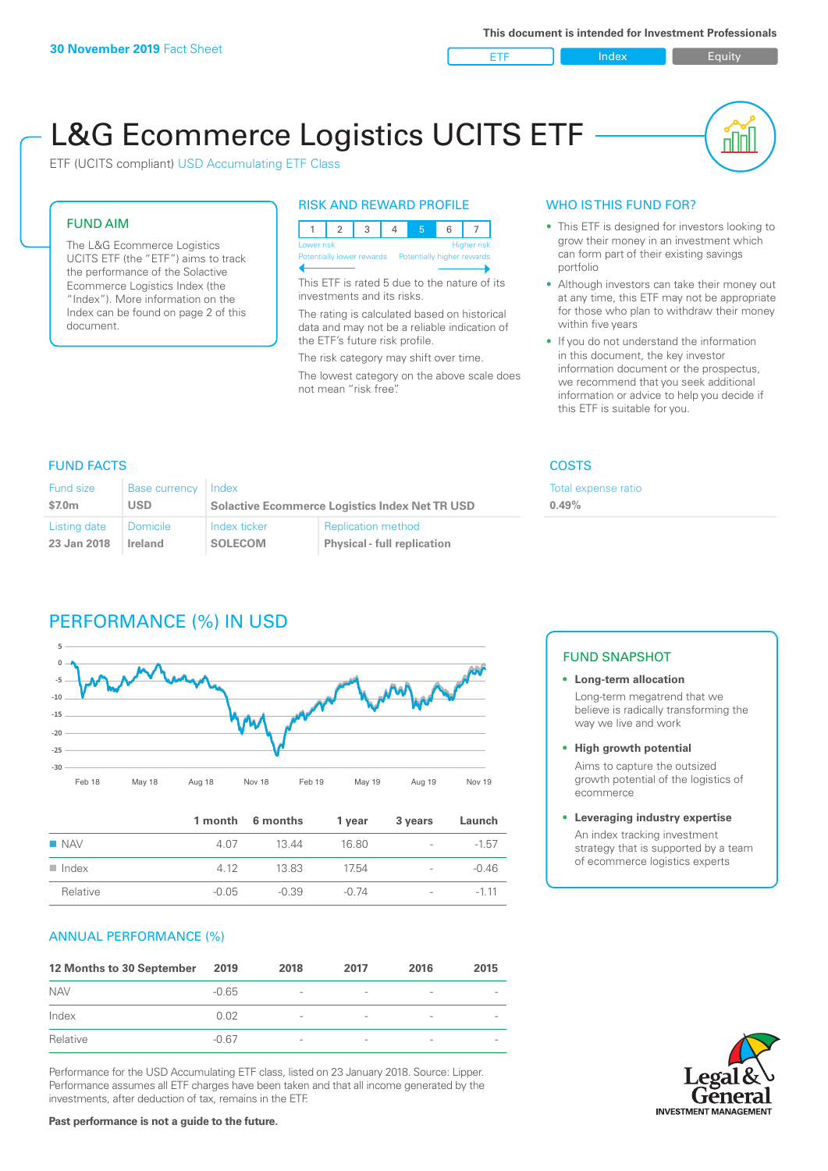ETF Index Builty

nN

# L&G Ecommerce Logistics UCITS ETF

ETF (UCITS compliant) USD Accumulating ETF Class

### FUND AIM

The L&G Ecommerce Logistics UCITS ETF (the "ETF") aims to track the performance of the Solactive Ecommerce Logistics Index (the "Index"). More information on the Index can be found on page 2 of this document.

### RISK AND REWARD PROFILE



This ETF is rated 5 due to the nature of its investments and its risks.

The rating is calculated based on historical data and may not be a reliable indication of the ETF's future risk profile.

The risk category may shift over time. The lowest category on the above scale does not mean "risk free".

### WHO IS THIS FUND FOR?

- This ETF is designed for investors looking to grow their money in an investment which can form part of their existing savings portfolio
- Although investors can take their money out at any time, this ETF may not be appropriate for those who plan to withdraw their money within five years
- If you do not understand the information in this document, the key investor information document or the prospectus, we recommend that you seek additional information or advice to help you decide if this ETF is suitable for you.

**0.49%**

Total expense ratio

### FUND FACTS COSTS

| Fund size<br>\$7.0m | Base currency Index<br>USD | <b>Solactive Ecommerce Logistics Index Net TR USD</b> |                                    |  |
|---------------------|----------------------------|-------------------------------------------------------|------------------------------------|--|
| Listing date        | Domicile                   | Index ticker                                          | <b>Replication method</b>          |  |
| 23 Jan 2018         | Ireland                    | <b>SOLECOM</b>                                        | <b>Physical - full replication</b> |  |

## PERFORMANCE (%) IN USD



|                      |         | 1 month 6 months | 1 year  | 3 years                  | Launch  |
|----------------------|---------|------------------|---------|--------------------------|---------|
| <b>NAV</b>           | 4.07    | 13 44            | 16.80   | $\overline{\phantom{a}}$ | $-1.57$ |
| $\blacksquare$ Index | 4 1 2   | 13.83            | 1754    | $\overline{\phantom{a}}$ | $-0.46$ |
| Relative             | $-0.05$ | $-0.39$          | $-0.74$ | $\overline{\phantom{a}}$ | $-111$  |

### ANNUAL PERFORMANCE (%)

| 12 Months to 30 September | 2019    | 2018                     | 2017                     | 2016                     | 2015                     |
|---------------------------|---------|--------------------------|--------------------------|--------------------------|--------------------------|
| <b>NAV</b>                | $-0.65$ | $\overline{\phantom{a}}$ | $\overline{\phantom{a}}$ | $\qquad \qquad$          | $\overline{\phantom{a}}$ |
| Index                     | 0.02    | $\overline{\phantom{a}}$ |                          | $\qquad \qquad$          | $\qquad \qquad$          |
| Relative                  | $-0.67$ | $\overline{\phantom{a}}$ |                          | $\overline{\phantom{0}}$ | $\overline{\phantom{a}}$ |

Performance for the USD Accumulating ETF class, listed on 23 January 2018. Source: Lipper. Performance assumes all ETF charges have been taken and that all income generated by the investments, after deduction of tax, remains in the ETF.

### FUND SNAPSHOT

- **• Long-term allocation** Long-term megatrend that we believe is radically transforming the way we live and work
- **• High growth potential** Aims to capture the outsized

growth potential of the logistics of ecommerce

#### **• Leveraging industry expertise**

An index tracking investment strategy that is supported by a team of ecommerce logistics experts

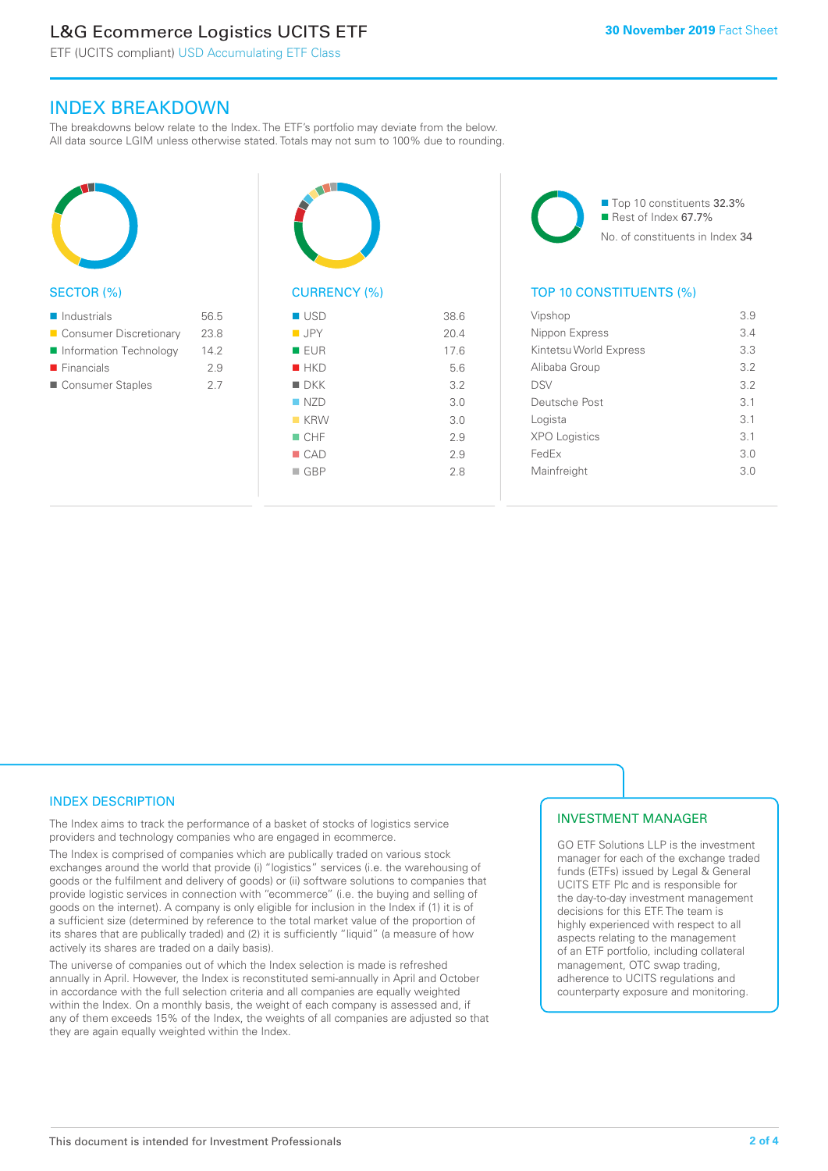### L&G Ecommerce Logistics UCITS ETF

ETF (UCITS compliant) USD Accumulating ETF Class

### INDEX BREAKDOWN

The breakdowns below relate to the Index. The ETF's portfolio may deviate from the below. All data source LGIM unless otherwise stated. Totals may not sum to 100% due to rounding.



### SECTOR (%)

| $\blacksquare$ Industrials | 56.5 |
|----------------------------|------|
| ■ Consumer Discretionary   | 23.8 |
| ■ Information Technology   | 142  |
| $\blacksquare$ Financials  | 2.9  |
| ■ Consumer Staples         | 27   |



### CURRENCY (%)

| $\blacksquare$ USD | 38.6 |
|--------------------|------|
| $\blacksquare$ JPY | 20.4 |
| ■ EUR              | 17.6 |
| HKD                | 5.6  |
| $\blacksquare$ DKK | 3.2  |
| NZD                | 3.0  |
| $K$ KRW            | 3.0  |
| $\blacksquare$ CHF | 2.9  |
| $\blacksquare$ CAD | 2.9  |
| $\Box$ GBP         | 2.8  |
|                    |      |

■ Top 10 constituents 32.3%  $\blacksquare$  Rest of Index 67.7% No. of constituents in Index 34

### TOP 10 CONSTITUENTS (%)

| Vipshop                | 3.9             |
|------------------------|-----------------|
| Nippon Express         | 3.4             |
| Kintetsu World Express | 33              |
| Alibaba Group          | 3.2             |
| <b>DSV</b>             | 32              |
| Deutsche Post          | 31              |
| Logista                | $\overline{3}1$ |
| <b>XPO Logistics</b>   | 3.1             |
| FedEx                  | 3.0             |
| Mainfreight            | 3.0             |
|                        |                 |

### INDEX DESCRIPTION

The Index aims to track the performance of a basket of stocks of logistics service providers and technology companies who are engaged in ecommerce.

The Index is comprised of companies which are publically traded on various stock exchanges around the world that provide (i) "logistics" services (i.e. the warehousing of goods or the fulfilment and delivery of goods) or (ii) software solutions to companies that provide logistic services in connection with "ecommerce" (i.e. the buying and selling of goods on the internet). A company is only eligible for inclusion in the Index if (1) it is of a sufficient size (determined by reference to the total market value of the proportion of its shares that are publically traded) and (2) it is sufficiently "liquid" (a measure of how actively its shares are traded on a daily basis).

The universe of companies out of which the Index selection is made is refreshed annually in April. However, the Index is reconstituted semi-annually in April and October in accordance with the full selection criteria and all companies are equally weighted within the Index. On a monthly basis, the weight of each company is assessed and, if any of them exceeds 15% of the Index, the weights of all companies are adjusted so that they are again equally weighted within the Index.

### INVESTMENT MANAGER

GO ETF Solutions LLP is the investment manager for each of the exchange traded funds (ETFs) issued by Legal & General UCITS ETF Plc and is responsible for the day-to-day investment management decisions for this ETF. The team is highly experienced with respect to all aspects relating to the management of an ETF portfolio, including collateral management, OTC swap trading, adherence to UCITS regulations and counterparty exposure and monitoring.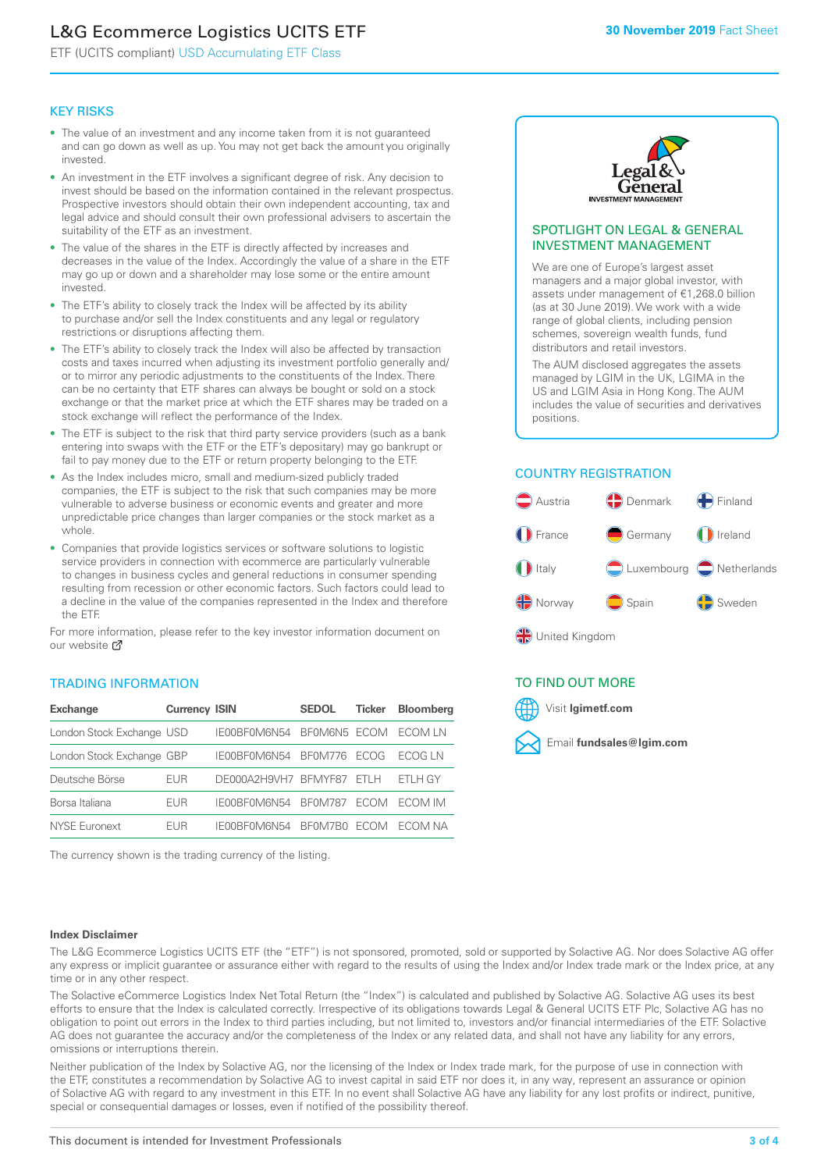### L&G Ecommerce Logistics UCITS ETF

ETF (UCITS compliant) USD Accumulating ETF Class

### KEY RISKS

- The value of an investment and any income taken from it is not guaranteed and can go down as well as up. You may not get back the amount you originally invested.
- An investment in the ETF involves a significant degree of risk. Any decision to invest should be based on the information contained in the relevant prospectus. Prospective investors should obtain their own independent accounting, tax and legal advice and should consult their own professional advisers to ascertain the suitability of the ETF as an investment.
- The value of the shares in the ETF is directly affected by increases and decreases in the value of the Index. Accordingly the value of a share in the ETF may go up or down and a shareholder may lose some or the entire amount invested.
- The ETF's ability to closely track the Index will be affected by its ability to purchase and/or sell the Index constituents and any legal or regulatory restrictions or disruptions affecting them.
- The ETF's ability to closely track the Index will also be affected by transaction costs and taxes incurred when adjusting its investment portfolio generally and/ or to mirror any periodic adjustments to the constituents of the Index. There can be no certainty that ETF shares can always be bought or sold on a stock exchange or that the market price at which the ETF shares may be traded on a stock exchange will reflect the performance of the Index.
- The ETF is subject to the risk that third party service providers (such as a bank entering into swaps with the ETF or the ETF's depositary) may go bankrupt or fail to pay money due to the ETF or return property belonging to the ETF.
- As the Index includes micro, small and medium-sized publicly traded companies, the ETF is subject to the risk that such companies may be more vulnerable to adverse business or economic events and greater and more unpredictable price changes than larger companies or the stock market as a whole.
- Companies that provide logistics services or software solutions to logistic service providers in connection with ecommerce are particularly vulnerable to changes in business cycles and general reductions in consumer spending resulting from recession or other economic factors. Such factors could lead to a decline in the value of the companies represented in the Index and therefore the ETF.

For more information, please refer to the key investor information document on our website **Z** 

### TRADING INFORMATION

| <b>Exchange</b>           | <b>Currency ISIN</b> |                      | <b>SEDOL</b>   | <b>Ticker</b> | Bloomberg |
|---------------------------|----------------------|----------------------|----------------|---------------|-----------|
| London Stock Exchange USD |                      | IE00BF0M6N54         | BFOM6N5 ECOM   |               | ECOM IN   |
| London Stock Exchange GBP |                      | IE00BF0M6N54         | <b>BF0M776</b> | <b>FCOG</b>   | FCOG IN   |
| Deutsche Börse            | EUR                  | DE000A2H9VH7 BFMYF87 |                | FTI H         | ETLH GY   |
| Borsa Italiana            | EUR                  | IF00BF0M6N54         | <b>BF0M787</b> | <b>FCOM</b>   | ECOM IM   |
| <b>NYSE Euronext</b>      | <b>FUR</b>           | IF00BF0M6N54         | BF0M7B0        | <b>FCOM</b>   | FCOM NA   |

The currency shown is the trading currency of the listing.



### SPOTLIGHT ON LEGAL & GENERAL INVESTMENT MANAGEMENT

We are one of Europe's largest asset managers and a major global investor, with assets under management of €1,268.0 billion (as at 30 June 2019). We work with a wide range of global clients, including pension schemes, sovereign wealth funds, fund distributors and retail investors.

The AUM disclosed aggregates the assets managed by LGIM in the UK, LGIMA in the US and LGIM Asia in Hong Kong. The AUM includes the value of securities and derivatives positions.

### COUNTRY REGISTRATION



∰ United Kingdom

### TO FIND OUT MORE



### **Index Disclaimer**

The L&G Ecommerce Logistics UCITS ETF (the "ETF") is not sponsored, promoted, sold or supported by Solactive AG. Nor does Solactive AG offer any express or implicit guarantee or assurance either with regard to the results of using the Index and/or Index trade mark or the Index price, at any time or in any other respect.

The Solactive eCommerce Logistics Index Net Total Return (the "Index") is calculated and published by Solactive AG. Solactive AG uses its best efforts to ensure that the Index is calculated correctly. Irrespective of its obligations towards Legal & General UCITS ETF Plc, Solactive AG has no obligation to point out errors in the Index to third parties including, but not limited to, investors and/or financial intermediaries of the ETF. Solactive AG does not guarantee the accuracy and/or the completeness of the Index or any related data, and shall not have any liability for any errors, omissions or interruptions therein.

Neither publication of the Index by Solactive AG, nor the licensing of the Index or Index trade mark, for the purpose of use in connection with the ETF, constitutes a recommendation by Solactive AG to invest capital in said ETF nor does it, in any way, represent an assurance or opinion of Solactive AG with regard to any investment in this ETF. In no event shall Solactive AG have any liability for any lost profits or indirect, punitive, special or consequential damages or losses, even if notified of the possibility thereof.